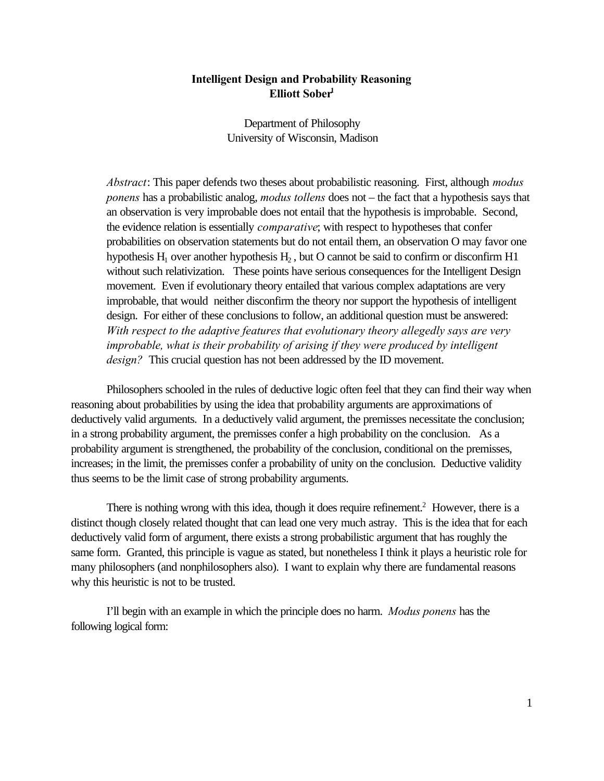## **Intelligent Design and Probability Reasoning Elliott Sober<sup>1</sup>**

Department of Philosophy University of Wisconsin, Madison

*Abstract*: This paper defends two theses about probabilistic reasoning. First, although *modus ponens* has a probabilistic analog, *modus tollens* does not – the fact that a hypothesis says that an observation is very improbable does not entail that the hypothesis is improbable. Second, the evidence relation is essentially *comparative*; with respect to hypotheses that confer probabilities on observation statements but do not entail them, an observation O may favor one hypothesis  $H_1$  over another hypothesis  $H_2$ , but O cannot be said to confirm or disconfirm H1 without such relativization. These points have serious consequences for the Intelligent Design movement. Even if evolutionary theory entailed that various complex adaptations are very improbable, that would neither disconfirm the theory nor support the hypothesis of intelligent design. For either of these conclusions to follow, an additional question must be answered: *With respect to the adaptive features that evolutionary theory allegedly says are very improbable, what is their probability of arising if they were produced by intelligent design?* This crucial question has not been addressed by the ID movement.

Philosophers schooled in the rules of deductive logic often feel that they can find their way when reasoning about probabilities by using the idea that probability arguments are approximations of deductively valid arguments. In a deductively valid argument, the premisses necessitate the conclusion; in a strong probability argument, the premisses confer a high probability on the conclusion. As a probability argument is strengthened, the probability of the conclusion, conditional on the premisses, increases; in the limit, the premisses confer a probability of unity on the conclusion. Deductive validity thus seems to be the limit case of strong probability arguments.

There is nothing wrong with this idea, though it does require refinement.<sup>2</sup> However, there is a distinct though closely related thought that can lead one very much astray. This is the idea that for each deductively valid form of argument, there exists a strong probabilistic argument that has roughly the same form. Granted, this principle is vague as stated, but nonetheless I think it plays a heuristic role for many philosophers (and nonphilosophers also). I want to explain why there are fundamental reasons why this heuristic is not to be trusted.

I'll begin with an example in which the principle does no harm. *Modus ponens* has the following logical form: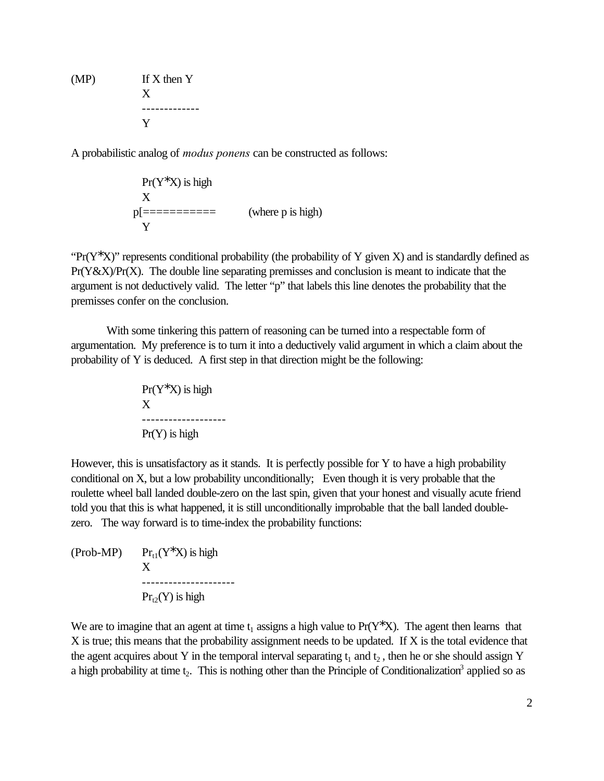(MP) If X then Y X ------------- Y

A probabilistic analog of *modus ponens* can be constructed as follows:

$$
Pr(Y^*X) \text{ is high}
$$
  
X  
p[~~-----~~~~-----~~~~\_\_~~  
Y  
(where p is high)

" $Pr(Y^*X)$ " represents conditional probability (the probability of Y given X) and is standardly defined as Pr(Y&X)/Pr(X). The double line separating premisses and conclusion is meant to indicate that the argument is not deductively valid. The letter "p" that labels this line denotes the probability that the premisses confer on the conclusion.

With some tinkering this pattern of reasoning can be turned into a respectable form of argumentation. My preference is to turn it into a deductively valid argument in which a claim about the probability of Y is deduced. A first step in that direction might be the following:

 $Pr(Y^*X)$  is high X -------------------  $Pr(Y)$  is high

However, this is unsatisfactory as it stands. It is perfectly possible for Y to have a high probability conditional on X, but a low probability unconditionally; Even though it is very probable that the roulette wheel ball landed double-zero on the last spin, given that your honest and visually acute friend told you that this is what happened, it is still unconditionally improbable that the ball landed doublezero. The way forward is to time-index the probability functions:

(Prob-MP)  $Pr_{t_1}(Y^*X)$  is high X ---------------------  $Pr_{t2}(Y)$  is high

We are to imagine that an agent at time  $t_1$  assigns a high value to  $Pr(Y^*X)$ . The agent then learns that X is true; this means that the probability assignment needs to be updated. If X is the total evidence that the agent acquires about Y in the temporal interval separating  $t_1$  and  $t_2$ , then he or she should assign Y a high probability at time  $t_2$ . This is nothing other than the Principle of Conditionalization<sup>3</sup> applied so as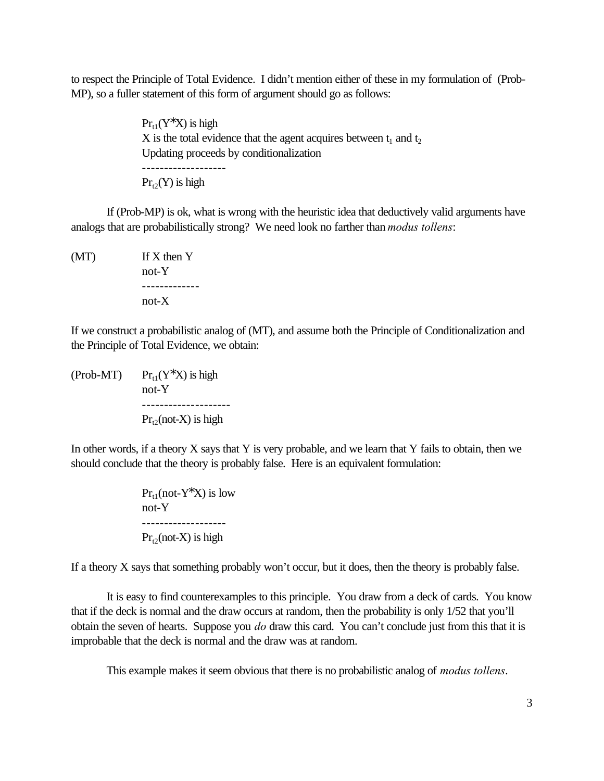to respect the Principle of Total Evidence. I didn't mention either of these in my formulation of (Prob-MP), so a fuller statement of this form of argument should go as follows:

> $Pr_{t1}(Y^*X)$  is high X is the total evidence that the agent acquires between  $t_1$  and  $t_2$ Updating proceeds by conditionalization -------------------  $Pr_{t2}(Y)$  is high

If (Prob-MP) is ok, what is wrong with the heuristic idea that deductively valid arguments have analogs that are probabilistically strong? We need look no farther than *modus tollens*:

(MT) If X then Y not-Y ------------ not-X

If we construct a probabilistic analog of (MT), and assume both the Principle of Conditionalization and the Principle of Total Evidence, we obtain:

(Prob-MT)  $Pr_{t_1}(Y^*X)$  is high not-Y --------------------  $Pr_{t2}(\text{not-X})$  is high

In other words, if a theory  $X$  says that  $Y$  is very probable, and we learn that  $Y$  fails to obtain, then we should conclude that the theory is probably false. Here is an equivalent formulation:

> $Pr_{t1}(not-Y^*X)$  is low not-Y -------------------  $Pr_{t2}(\text{not-X})$  is high

If a theory X says that something probably won't occur, but it does, then the theory is probably false.

It is easy to find counterexamples to this principle. You draw from a deck of cards. You know that if the deck is normal and the draw occurs at random, then the probability is only 1/52 that you'll obtain the seven of hearts. Suppose you *do* draw this card. You can't conclude just from this that it is improbable that the deck is normal and the draw was at random.

This example makes it seem obvious that there is no probabilistic analog of *modus tollens*.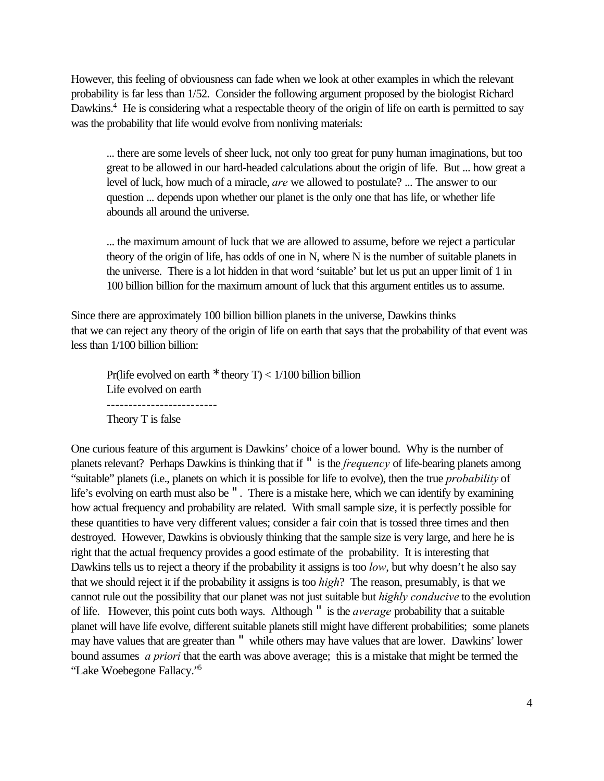However, this feeling of obviousness can fade when we look at other examples in which the relevant probability is far less than 1/52. Consider the following argument proposed by the biologist Richard Dawkins.<sup>4</sup> He is considering what a respectable theory of the origin of life on earth is permitted to say was the probability that life would evolve from nonliving materials:

... there are some levels of sheer luck, not only too great for puny human imaginations, but too great to be allowed in our hard-headed calculations about the origin of life. But ... how great a level of luck, how much of a miracle, *are* we allowed to postulate? ... The answer to our question ... depends upon whether our planet is the only one that has life, or whether life abounds all around the universe.

... the maximum amount of luck that we are allowed to assume, before we reject a particular theory of the origin of life, has odds of one in N, where N is the number of suitable planets in the universe. There is a lot hidden in that word 'suitable' but let us put an upper limit of 1 in 100 billion billion for the maximum amount of luck that this argument entitles us to assume.

Since there are approximately 100 billion billion planets in the universe, Dawkins thinks that we can reject any theory of the origin of life on earth that says that the probability of that event was less than 1/100 billion billion:

Pr(life evolved on earth  $*$  theory  $T$ ) <  $1/100$  billion billion Life evolved on earth ------------------------- Theory T is false

One curious feature of this argument is Dawkins' choice of a lower bound. Why is the number of planets relevant? Perhaps Dawkins is thinking that if " is the *frequency* of life-bearing planets among "suitable" planets (i.e., planets on which it is possible for life to evolve), then the true *probability* of life's evolving on earth must also be ". There is a mistake here, which we can identify by examining how actual frequency and probability are related. With small sample size, it is perfectly possible for these quantities to have very different values; consider a fair coin that is tossed three times and then destroyed. However, Dawkins is obviously thinking that the sample size is very large, and here he is right that the actual frequency provides a good estimate of the probability. It is interesting that Dawkins tells us to reject a theory if the probability it assigns is too *low*, but why doesn't he also say that we should reject it if the probability it assigns is too *high*? The reason, presumably, is that we cannot rule out the possibility that our planet was not just suitable but *highly conducive* to the evolution of life. However, this point cuts both ways. Although " is the *average* probability that a suitable planet will have life evolve, different suitable planets still might have different probabilities; some planets may have values that are greater than " while others may have values that are lower. Dawkins' lower bound assumes *a priori* that the earth was above average; this is a mistake that might be termed the "Lake Woebegone Fallacy."5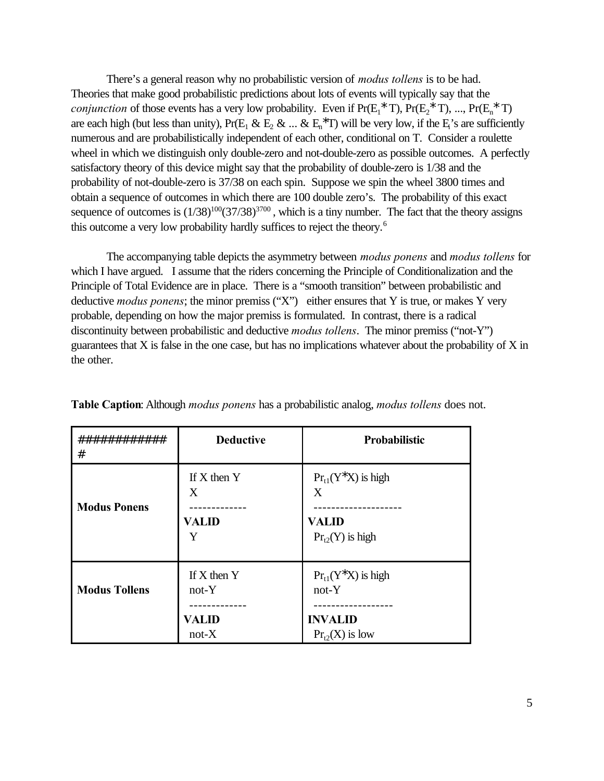There's a general reason why no probabilistic version of *modus tollens* is to be had. Theories that make good probabilistic predictions about lots of events will typically say that the *conjunction* of those events has a very low probability. Even if  $Pr(E_1^* T)$ ,  $Pr(E_2^* T)$ , ...,  $Pr(E_n^* T)$ are each high (but less than unity),  $Pr(E_1 \& E_2 \& \dots \& E_n^*T)$  will be very low, if the  $E_i$ 's are sufficiently numerous and are probabilistically independent of each other, conditional on T. Consider a roulette wheel in which we distinguish only double-zero and not-double-zero as possible outcomes. A perfectly satisfactory theory of this device might say that the probability of double-zero is 1/38 and the probability of not-double-zero is 37/38 on each spin. Suppose we spin the wheel 3800 times and obtain a sequence of outcomes in which there are 100 double zero's. The probability of this exact sequence of outcomes is  $(1/38)^{100}(37/38)^{3700}$ , which is a tiny number. The fact that the theory assigns this outcome a very low probability hardly suffices to reject the theory.<sup>6</sup>

The accompanying table depicts the asymmetry between *modus ponens* and *modus tollens* for which I have argued. I assume that the riders concerning the Principle of Conditionalization and the Principle of Total Evidence are in place. There is a "smooth transition" between probabilistic and deductive *modus ponens*; the minor premiss ("X") either ensures that Y is true, or makes Y very probable, depending on how the major premiss is formulated. In contrast, there is a radical discontinuity between probabilistic and deductive *modus tollens*. The minor premiss ("not-Y") guarantees that X is false in the one case, but has no implications whatever about the probability of X in the other.

| ############<br>#    | <b>Deductive</b>                                      | Probabilistic                                                               |
|----------------------|-------------------------------------------------------|-----------------------------------------------------------------------------|
| <b>Modus Ponens</b>  | If $X$ then $Y$<br>X<br><b>VALID</b><br>Y             | $Pr_{t1}(Y^*X)$ is high<br>X<br><b>VALID</b><br>$Pr_{t2}(Y)$ is high        |
| <b>Modus Tollens</b> | If $X$ then $Y$<br>$not-Y$<br><b>VALID</b><br>$not-X$ | $Pr_{t1}(Y^*X)$ is high<br>$not-Y$<br><b>INVALID</b><br>$Pr_{t2}(X)$ is low |

**Table Caption**: Although *modus ponens* has a probabilistic analog, *modus tollens* does not.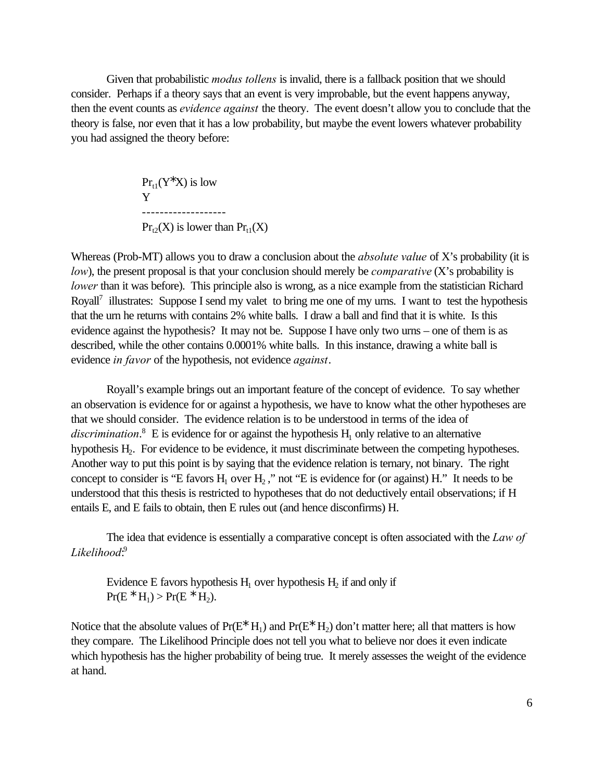Given that probabilistic *modus tollens* is invalid, there is a fallback position that we should consider. Perhaps if a theory says that an event is very improbable, but the event happens anyway, then the event counts as *evidence against* the theory. The event doesn't allow you to conclude that the theory is false, nor even that it has a low probability, but maybe the event lowers whatever probability you had assigned the theory before:

 $Pr_{t1}(Y^*X)$  is low Y -------------------  $Pr_{t2}(X)$  is lower than  $Pr_{t1}(X)$ 

Whereas (Prob-MT) allows you to draw a conclusion about the *absolute value* of X's probability (it is *low*), the present proposal is that your conclusion should merely be *comparative* (X's probability is *lower* than it was before). This principle also is wrong, as a nice example from the statistician Richard Royall<sup>7</sup> illustrates: Suppose I send my valet to bring me one of my urns. I want to test the hypothesis that the urn he returns with contains 2% white balls. I draw a ball and find that it is white. Is this evidence against the hypothesis? It may not be. Suppose I have only two urns – one of them is as described, while the other contains 0.0001% white balls. In this instance, drawing a white ball is evidence *in favor* of the hypothesis, not evidence *against*.

Royall's example brings out an important feature of the concept of evidence. To say whether an observation is evidence for or against a hypothesis, we have to know what the other hypotheses are that we should consider. The evidence relation is to be understood in terms of the idea of  $discription$ <sup>8</sup> E is evidence for or against the hypothesis  $H_1$  only relative to an alternative hypothesis  $H_2$ . For evidence to be evidence, it must discriminate between the competing hypotheses. Another way to put this point is by saying that the evidence relation is ternary, not binary. The right concept to consider is "E favors  $H_1$  over  $H_2$ ," not "E is evidence for (or against) H." It needs to be understood that this thesis is restricted to hypotheses that do not deductively entail observations; if H entails E, and E fails to obtain, then E rules out (and hence disconfirms) H.

The idea that evidence is essentially a comparative concept is often associated with the *Law of Likelihood*: 9

Evidence E favors hypothesis  $H_1$  over hypothesis  $H_2$  if and only if  $Pr(E^* H_1) > Pr(E^* H_2).$ 

Notice that the absolute values of  $Pr(E^* H_1)$  and  $Pr(E^* H_2)$  don't matter here; all that matters is how they compare. The Likelihood Principle does not tell you what to believe nor does it even indicate which hypothesis has the higher probability of being true. It merely assesses the weight of the evidence at hand.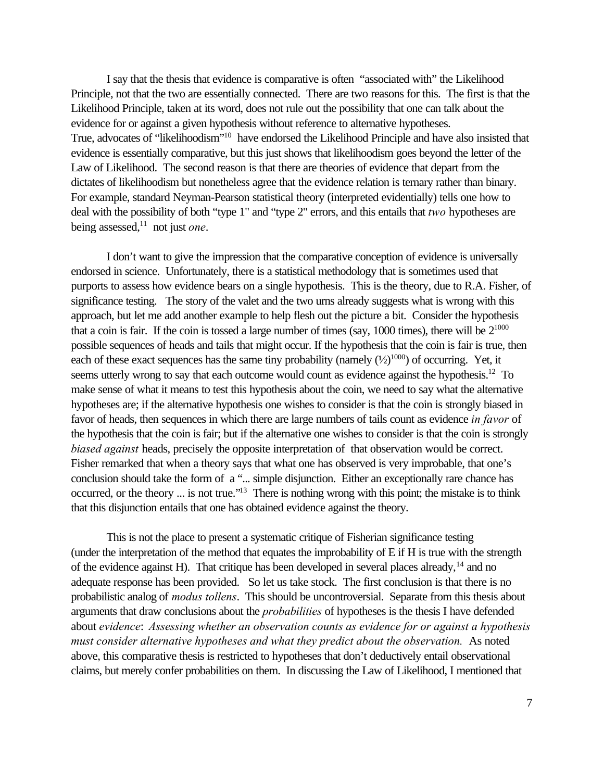I say that the thesis that evidence is comparative is often "associated with" the Likelihood Principle, not that the two are essentially connected. There are two reasons for this. The first is that the Likelihood Principle, taken at its word, does not rule out the possibility that one can talk about the evidence for or against a given hypothesis without reference to alternative hypotheses. True, advocates of "likelihoodism"<sup>10</sup> have endorsed the Likelihood Principle and have also insisted that evidence is essentially comparative, but this just shows that likelihoodism goes beyond the letter of the Law of Likelihood. The second reason is that there are theories of evidence that depart from the dictates of likelihoodism but nonetheless agree that the evidence relation is ternary rather than binary. For example, standard Neyman-Pearson statistical theory (interpreted evidentially) tells one how to deal with the possibility of both "type 1" and "type 2" errors, and this entails that *two* hypotheses are being assessed,<sup>11</sup> not just *one*.

I don't want to give the impression that the comparative conception of evidence is universally endorsed in science. Unfortunately, there is a statistical methodology that is sometimes used that purports to assess how evidence bears on a single hypothesis. This is the theory, due to R.A. Fisher, of significance testing. The story of the valet and the two urns already suggests what is wrong with this approach, but let me add another example to help flesh out the picture a bit. Consider the hypothesis that a coin is fair. If the coin is tossed a large number of times (say, 1000 times), there will be  $2^{1000}$ possible sequences of heads and tails that might occur. If the hypothesis that the coin is fair is true, then each of these exact sequences has the same tiny probability (namely  $(1/2)^{1000}$ ) of occurring. Yet, it seems utterly wrong to say that each outcome would count as evidence against the hypothesis.<sup>12</sup> To make sense of what it means to test this hypothesis about the coin, we need to say what the alternative hypotheses are; if the alternative hypothesis one wishes to consider is that the coin is strongly biased in favor of heads, then sequences in which there are large numbers of tails count as evidence *in favor* of the hypothesis that the coin is fair; but if the alternative one wishes to consider is that the coin is strongly *biased against* heads, precisely the opposite interpretation of that observation would be correct. Fisher remarked that when a theory says that what one has observed is very improbable, that one's conclusion should take the form of a "... simple disjunction. Either an exceptionally rare chance has occurred, or the theory ... is not true."<sup>13</sup> There is nothing wrong with this point; the mistake is to think that this disjunction entails that one has obtained evidence against the theory.

This is not the place to present a systematic critique of Fisherian significance testing (under the interpretation of the method that equates the improbability of E if H is true with the strength of the evidence against H). That critique has been developed in several places already,  $^{14}$  and no adequate response has been provided. So let us take stock. The first conclusion is that there is no probabilistic analog of *modus tollens*. This should be uncontroversial. Separate from this thesis about arguments that draw conclusions about the *probabilities* of hypotheses is the thesis I have defended about *evidence*: *Assessing whether an observation counts as evidence for or against a hypothesis must consider alternative hypotheses and what they predict about the observation.* As noted above, this comparative thesis is restricted to hypotheses that don't deductively entail observational claims, but merely confer probabilities on them. In discussing the Law of Likelihood, I mentioned that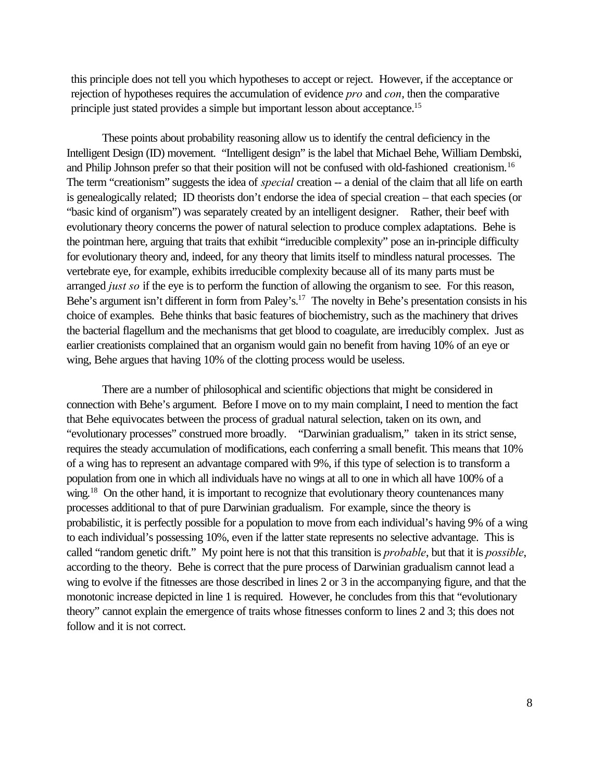this principle does not tell you which hypotheses to accept or reject. However, if the acceptance or rejection of hypotheses requires the accumulation of evidence *pro* and *con*, then the comparative principle just stated provides a simple but important lesson about acceptance.<sup>15</sup>

These points about probability reasoning allow us to identify the central deficiency in the Intelligent Design (ID) movement. "Intelligent design" is the label that Michael Behe, William Dembski, and Philip Johnson prefer so that their position will not be confused with old-fashioned creationism.<sup>16</sup> The term "creationism" suggests the idea of *special* creation -- a denial of the claim that all life on earth is genealogically related; ID theorists don't endorse the idea of special creation – that each species (or "basic kind of organism") was separately created by an intelligent designer. Rather, their beef with evolutionary theory concerns the power of natural selection to produce complex adaptations. Behe is the pointman here, arguing that traits that exhibit "irreducible complexity" pose an in-principle difficulty for evolutionary theory and, indeed, for any theory that limits itself to mindless natural processes. The vertebrate eye, for example, exhibits irreducible complexity because all of its many parts must be arranged *just so* if the eye is to perform the function of allowing the organism to see. For this reason, Behe's argument isn't different in form from Paley's.<sup>17</sup> The novelty in Behe's presentation consists in his choice of examples. Behe thinks that basic features of biochemistry, such as the machinery that drives the bacterial flagellum and the mechanisms that get blood to coagulate, are irreducibly complex. Just as earlier creationists complained that an organism would gain no benefit from having 10% of an eye or wing, Behe argues that having 10% of the clotting process would be useless.

There are a number of philosophical and scientific objections that might be considered in connection with Behe's argument. Before I move on to my main complaint, I need to mention the fact that Behe equivocates between the process of gradual natural selection, taken on its own, and "evolutionary processes" construed more broadly. "Darwinian gradualism," taken in its strict sense, requires the steady accumulation of modifications, each conferring a small benefit. This means that 10% of a wing has to represent an advantage compared with 9%, if this type of selection is to transform a population from one in which all individuals have no wings at all to one in which all have 100% of a wing.<sup>18</sup> On the other hand, it is important to recognize that evolutionary theory countenances many processes additional to that of pure Darwinian gradualism. For example, since the theory is probabilistic, it is perfectly possible for a population to move from each individual's having 9% of a wing to each individual's possessing 10%, even if the latter state represents no selective advantage. This is called "random genetic drift." My point here is not that this transition is *probable*, but that it is *possible*, according to the theory. Behe is correct that the pure process of Darwinian gradualism cannot lead a wing to evolve if the fitnesses are those described in lines 2 or 3 in the accompanying figure, and that the monotonic increase depicted in line 1 is required. However, he concludes from this that "evolutionary theory" cannot explain the emergence of traits whose fitnesses conform to lines 2 and 3; this does not follow and it is not correct.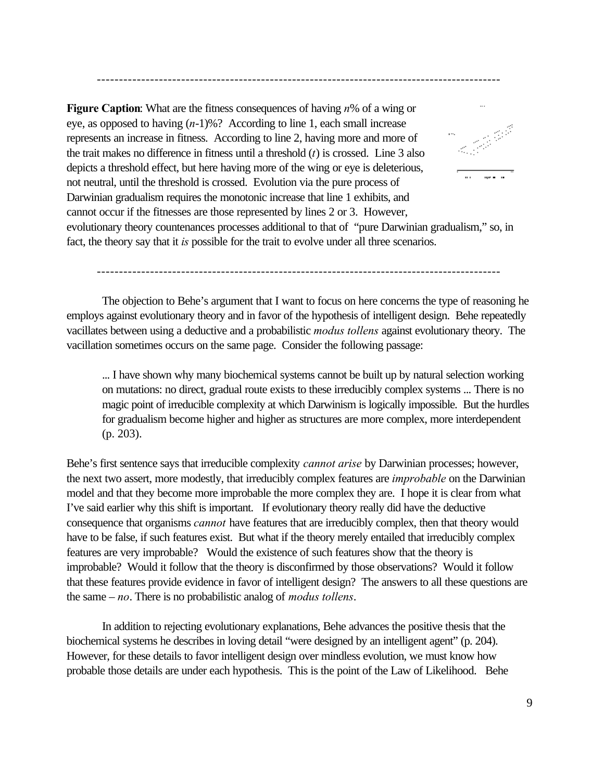**Figure Caption**: What are the fitness consequences of having *n*% of a wing or eye, as opposed to having (*n*-1)%? According to line 1, each small increase represents an increase in fitness. According to line 2, having more and more of the trait makes no difference in fitness until a threshold (*t*) is crossed. Line 3 also depicts a threshold effect, but here having more of the wing or eye is deleterious, not neutral, until the threshold is crossed. Evolution via the pure process of Darwinian gradualism requires the monotonic increase that line 1 exhibits, and cannot occur if the fitnesses are those represented by lines 2 or 3. However,

vacillation sometimes occurs on the same page. Consider the following passage:



evolutionary theory countenances processes additional to that of "pure Darwinian gradualism," so, in fact, the theory say that it *is* possible for the trait to evolve under all three scenarios.

-------------------------------------------------------------------------------------------

The objection to Behe's argument that I want to focus on here concerns the type of reasoning he employs against evolutionary theory and in favor of the hypothesis of intelligent design. Behe repeatedly vacillates between using a deductive and a probabilistic *modus tollens* against evolutionary theory. The

-------------------------------------------------------------------------------------------

... I have shown why many biochemical systems cannot be built up by natural selection working on mutations: no direct, gradual route exists to these irreducibly complex systems ... There is no magic point of irreducible complexity at which Darwinism is logically impossible. But the hurdles for gradualism become higher and higher as structures are more complex, more interdependent (p. 203).

Behe's first sentence says that irreducible complexity *cannot arise* by Darwinian processes; however, the next two assert, more modestly, that irreducibly complex features are *improbable* on the Darwinian model and that they become more improbable the more complex they are. I hope it is clear from what I've said earlier why this shift is important. If evolutionary theory really did have the deductive consequence that organisms *cannot* have features that are irreducibly complex, then that theory would have to be false, if such features exist. But what if the theory merely entailed that irreducibly complex features are very improbable? Would the existence of such features show that the theory is improbable? Would it follow that the theory is disconfirmed by those observations? Would it follow that these features provide evidence in favor of intelligent design? The answers to all these questions are the same – *no*. There is no probabilistic analog of *modus tollens*.

In addition to rejecting evolutionary explanations, Behe advances the positive thesis that the biochemical systems he describes in loving detail "were designed by an intelligent agent" (p. 204). However, for these details to favor intelligent design over mindless evolution, we must know how probable those details are under each hypothesis. This is the point of the Law of Likelihood. Behe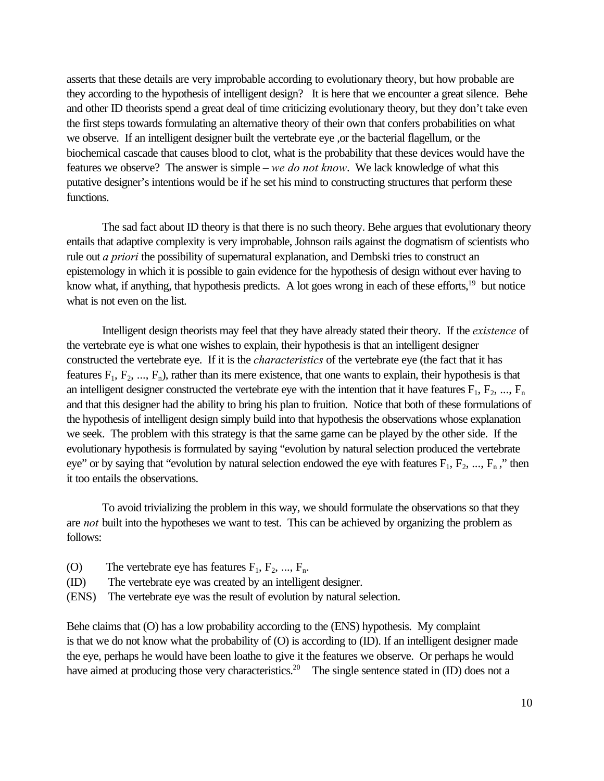asserts that these details are very improbable according to evolutionary theory, but how probable are they according to the hypothesis of intelligent design? It is here that we encounter a great silence. Behe and other ID theorists spend a great deal of time criticizing evolutionary theory, but they don't take even the first steps towards formulating an alternative theory of their own that confers probabilities on what we observe. If an intelligent designer built the vertebrate eye ,or the bacterial flagellum, or the biochemical cascade that causes blood to clot, what is the probability that these devices would have the features we observe? The answer is simple – *we do not know*. We lack knowledge of what this putative designer's intentions would be if he set his mind to constructing structures that perform these functions.

The sad fact about ID theory is that there is no such theory. Behe argues that evolutionary theory entails that adaptive complexity is very improbable, Johnson rails against the dogmatism of scientists who rule out *a priori* the possibility of supernatural explanation, and Dembski tries to construct an epistemology in which it is possible to gain evidence for the hypothesis of design without ever having to know what, if anything, that hypothesis predicts. A lot goes wrong in each of these efforts,<sup>19</sup> but notice what is not even on the list.

Intelligent design theorists may feel that they have already stated their theory. If the *existence* of the vertebrate eye is what one wishes to explain, their hypothesis is that an intelligent designer constructed the vertebrate eye. If it is the *characteristics* of the vertebrate eye (the fact that it has features  $F_1, F_2, ..., F_n$ ), rather than its mere existence, that one wants to explain, their hypothesis is that an intelligent designer constructed the vertebrate eye with the intention that it have features  $F_1, F_2, ..., F_n$ and that this designer had the ability to bring his plan to fruition. Notice that both of these formulations of the hypothesis of intelligent design simply build into that hypothesis the observations whose explanation we seek. The problem with this strategy is that the same game can be played by the other side. If the evolutionary hypothesis is formulated by saying "evolution by natural selection produced the vertebrate eye" or by saying that "evolution by natural selection endowed the eye with features  $F_1, F_2, ..., F_n$ ," then it too entails the observations.

To avoid trivializing the problem in this way, we should formulate the observations so that they are *not* built into the hypotheses we want to test. This can be achieved by organizing the problem as follows:

- (O) The vertebrate eye has features  $F_1, F_2, ..., F_n$ .
- (ID) The vertebrate eye was created by an intelligent designer.
- (ENS) The vertebrate eye was the result of evolution by natural selection.

Behe claims that (O) has a low probability according to the (ENS) hypothesis. My complaint is that we do not know what the probability of (O) is according to (ID). If an intelligent designer made the eye, perhaps he would have been loathe to give it the features we observe. Or perhaps he would have aimed at producing those very characteristics.<sup>20</sup> The single sentence stated in  $(ID)$  does not a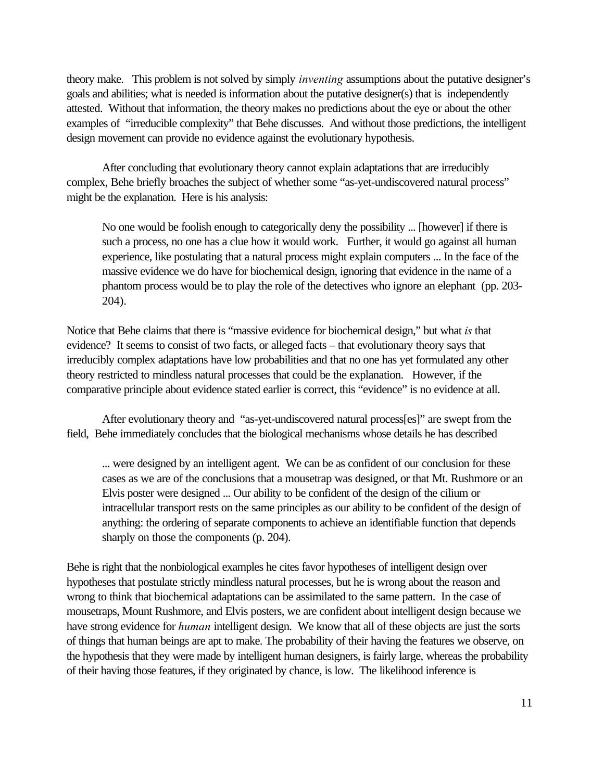theory make. This problem is not solved by simply *inventing* assumptions about the putative designer's goals and abilities; what is needed is information about the putative designer(s) that is independently attested. Without that information, the theory makes no predictions about the eye or about the other examples of "irreducible complexity" that Behe discusses. And without those predictions, the intelligent design movement can provide no evidence against the evolutionary hypothesis.

After concluding that evolutionary theory cannot explain adaptations that are irreducibly complex, Behe briefly broaches the subject of whether some "as-yet-undiscovered natural process" might be the explanation. Here is his analysis:

No one would be foolish enough to categorically deny the possibility ... [however] if there is such a process, no one has a clue how it would work. Further, it would go against all human experience, like postulating that a natural process might explain computers ... In the face of the massive evidence we do have for biochemical design, ignoring that evidence in the name of a phantom process would be to play the role of the detectives who ignore an elephant (pp. 203- 204).

Notice that Behe claims that there is "massive evidence for biochemical design," but what *is* that evidence? It seems to consist of two facts, or alleged facts – that evolutionary theory says that irreducibly complex adaptations have low probabilities and that no one has yet formulated any other theory restricted to mindless natural processes that could be the explanation. However, if the comparative principle about evidence stated earlier is correct, this "evidence" is no evidence at all.

After evolutionary theory and "as-yet-undiscovered natural process[es]" are swept from the field, Behe immediately concludes that the biological mechanisms whose details he has described

... were designed by an intelligent agent. We can be as confident of our conclusion for these cases as we are of the conclusions that a mousetrap was designed, or that Mt. Rushmore or an Elvis poster were designed ... Our ability to be confident of the design of the cilium or intracellular transport rests on the same principles as our ability to be confident of the design of anything: the ordering of separate components to achieve an identifiable function that depends sharply on those the components (p. 204).

Behe is right that the nonbiological examples he cites favor hypotheses of intelligent design over hypotheses that postulate strictly mindless natural processes, but he is wrong about the reason and wrong to think that biochemical adaptations can be assimilated to the same pattern. In the case of mousetraps, Mount Rushmore, and Elvis posters, we are confident about intelligent design because we have strong evidence for *human* intelligent design. We know that all of these objects are just the sorts of things that human beings are apt to make. The probability of their having the features we observe, on the hypothesis that they were made by intelligent human designers, is fairly large, whereas the probability of their having those features, if they originated by chance, is low. The likelihood inference is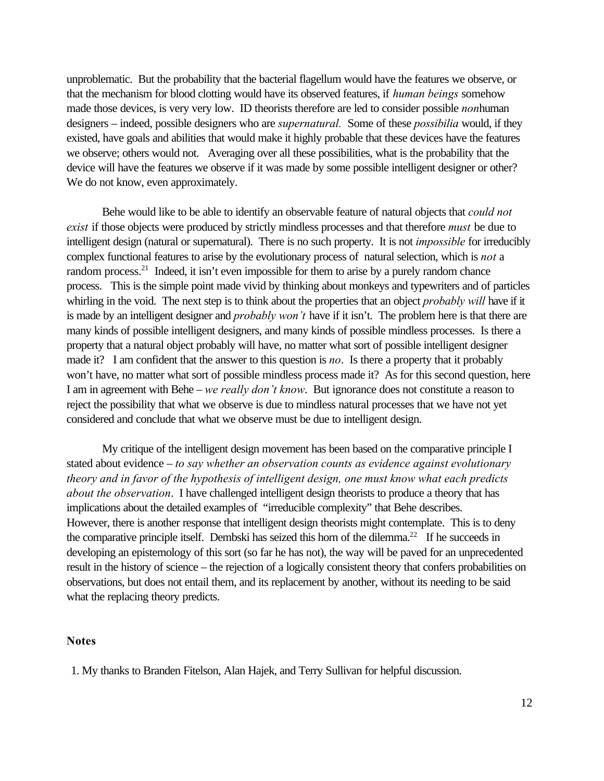unproblematic. But the probability that the bacterial flagellum would have the features we observe, or that the mechanism for blood clotting would have its observed features, if *human beings* somehow made those devices, is very very low. ID theorists therefore are led to consider possible *non*human designers – indeed, possible designers who are *supernatural.* Some of these *possibilia* would, if they existed, have goals and abilities that would make it highly probable that these devices have the features we observe; others would not. Averaging over all these possibilities, what is the probability that the device will have the features we observe if it was made by some possible intelligent designer or other? We do not know, even approximately.

Behe would like to be able to identify an observable feature of natural objects that *could not exist* if those objects were produced by strictly mindless processes and that therefore *must* be due to intelligent design (natural or supernatural). There is no such property. It is not *impossible* for irreducibly complex functional features to arise by the evolutionary process of natural selection, which is *not* a random process.<sup>21</sup> Indeed, it isn't even impossible for them to arise by a purely random chance process. This is the simple point made vivid by thinking about monkeys and typewriters and of particles whirling in the void. The next step is to think about the properties that an object *probably will* have if it is made by an intelligent designer and *probably won't* have if it isn't. The problem here is that there are many kinds of possible intelligent designers, and many kinds of possible mindless processes. Is there a property that a natural object probably will have, no matter what sort of possible intelligent designer made it? I am confident that the answer to this question is *no*. Is there a property that it probably won't have, no matter what sort of possible mindless process made it? As for this second question, here I am in agreement with Behe – *we really don't know*. But ignorance does not constitute a reason to reject the possibility that what we observe is due to mindless natural processes that we have not yet considered and conclude that what we observe must be due to intelligent design.

My critique of the intelligent design movement has been based on the comparative principle I stated about evidence – *to say whether an observation counts as evidence against evolutionary theory and in favor of the hypothesis of intelligent design, one must know what each predicts about the observation*. I have challenged intelligent design theorists to produce a theory that has implications about the detailed examples of "irreducible complexity" that Behe describes. However, there is another response that intelligent design theorists might contemplate. This is to deny the comparative principle itself. Dembski has seized this horn of the dilemma.<sup>22</sup> If he succeeds in developing an epistemology of this sort (so far he has not), the way will be paved for an unprecedented result in the history of science – the rejection of a logically consistent theory that confers probabilities on observations, but does not entail them, and its replacement by another, without its needing to be said what the replacing theory predicts.

## **Notes**

1. My thanks to Branden Fitelson, Alan Hajek, and Terry Sullivan for helpful discussion.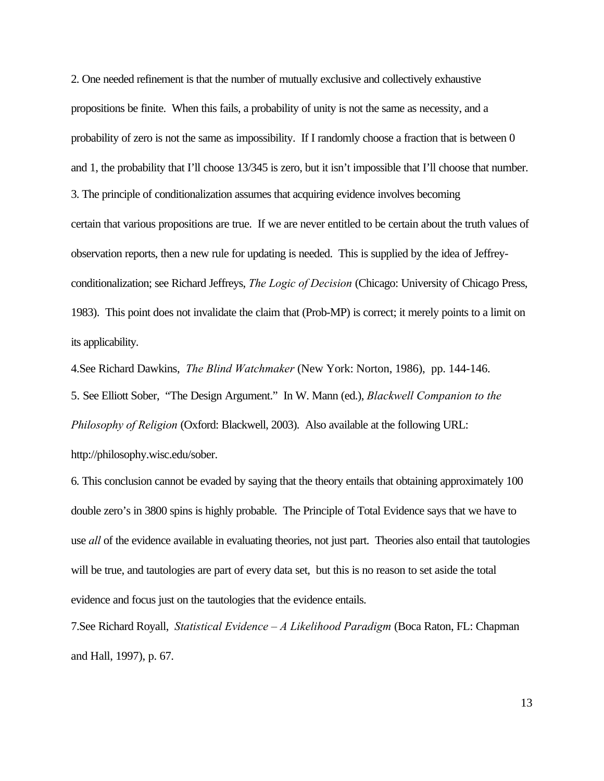2. One needed refinement is that the number of mutually exclusive and collectively exhaustive propositions be finite. When this fails, a probability of unity is not the same as necessity, and a probability of zero is not the same as impossibility. If I randomly choose a fraction that is between 0 and 1, the probability that I'll choose 13/345 is zero, but it isn't impossible that I'll choose that number. 3. The principle of conditionalization assumes that acquiring evidence involves becoming certain that various propositions are true. If we are never entitled to be certain about the truth values of observation reports, then a new rule for updating is needed. This is supplied by the idea of Jeffreyconditionalization; see Richard Jeffreys, *The Logic of Decision* (Chicago: University of Chicago Press, 1983). This point does not invalidate the claim that (Prob-MP) is correct; it merely points to a limit on its applicability.

4.See Richard Dawkins, *The Blind Watchmaker* (New York: Norton, 1986), pp. 144-146. 5. See Elliott Sober, "The Design Argument." In W. Mann (ed.), *Blackwell Companion to the Philosophy of Religion* (Oxford: Blackwell, 2003). Also available at the following URL: http://philosophy.wisc.edu/sober.

6. This conclusion cannot be evaded by saying that the theory entails that obtaining approximately 100 double zero's in 3800 spins is highly probable. The Principle of Total Evidence says that we have to use *all* of the evidence available in evaluating theories, not just part. Theories also entail that tautologies will be true, and tautologies are part of every data set, but this is no reason to set aside the total evidence and focus just on the tautologies that the evidence entails.

7.See Richard Royall, *Statistical Evidence – A Likelihood Paradigm* (Boca Raton, FL: Chapman and Hall, 1997), p. 67.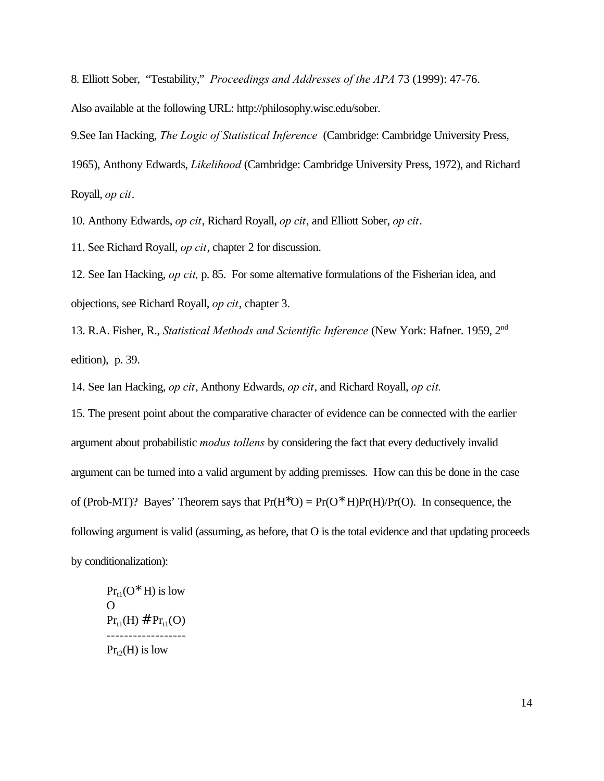8. Elliott Sober, "Testability," *Proceedings and Addresses of the APA* 73 (1999): 47-76.

Also available at the following URL: http://philosophy.wisc.edu/sober.

9.See Ian Hacking, *The Logic of Statistical Inference* (Cambridge: Cambridge University Press,

1965), Anthony Edwards, *Likelihood* (Cambridge: Cambridge University Press, 1972), and Richard Royall, *op cit*.

10. Anthony Edwards, *op cit*, Richard Royall, *op cit*, and Elliott Sober, *op cit*.

11. See Richard Royall, *op cit*, chapter 2 for discussion.

12. See Ian Hacking, *op cit,* p. 85. For some alternative formulations of the Fisherian idea, and objections, see Richard Royall, *op cit*, chapter 3.

13. R.A. Fisher, R., *Statistical Methods and Scientific Inference* (New York: Hafner. 1959, 2nd edition), p. 39.

14. See Ian Hacking, *op cit*, Anthony Edwards, *op cit*, and Richard Royall, *op cit.*

15. The present point about the comparative character of evidence can be connected with the earlier argument about probabilistic *modus tollens* by considering the fact that every deductively invalid argument can be turned into a valid argument by adding premisses. How can this be done in the case of (Prob-MT)? Bayes' Theorem says that  $Pr(H^*O) = Pr(O^* H)Pr(H)/Pr(O)$ . In consequence, the following argument is valid (assuming, as before, that O is the total evidence and that updating proceeds by conditionalization):

 $Pr_{t1}(O^* H)$  is low O  $Pr_{t1}(H)$  #  $Pr_{t1}(O)$ ------------------  $Pr_{t2}(H)$  is low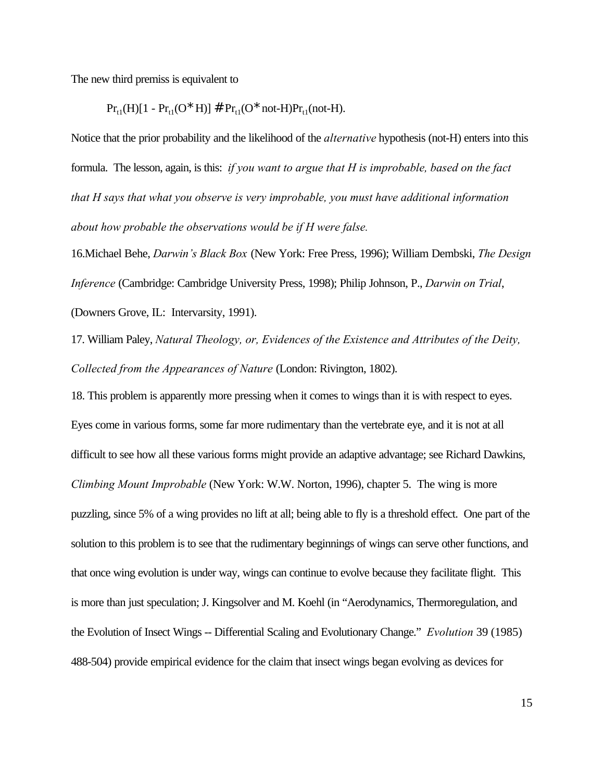The new third premiss is equivalent to

 $Pr_{t_1}(H)[1 - Pr_{t_1}(O^* H)] \# Pr_{t_1}(O^* not-H)Pr_{t_1}(not-H).$ 

Notice that the prior probability and the likelihood of the *alternative* hypothesis (not-H) enters into this formula. The lesson, again, is this: *if you want to argue that H is improbable, based on the fact that H says that what you observe is very improbable, you must have additional information about how probable the observations would be if H were false.*

16.Michael Behe, *Darwin's Black Box* (New York: Free Press, 1996); William Dembski, *The Design Inference* (Cambridge: Cambridge University Press, 1998); Philip Johnson, P., *Darwin on Trial*, (Downers Grove, IL: Intervarsity, 1991).

17. William Paley, *Natural Theology, or, Evidences of the Existence and Attributes of the Deity, Collected from the Appearances of Nature* (London: Rivington, 1802).

18. This problem is apparently more pressing when it comes to wings than it is with respect to eyes. Eyes come in various forms, some far more rudimentary than the vertebrate eye, and it is not at all difficult to see how all these various forms might provide an adaptive advantage; see Richard Dawkins, *Climbing Mount Improbable* (New York: W.W. Norton, 1996), chapter 5. The wing is more puzzling, since 5% of a wing provides no lift at all; being able to fly is a threshold effect. One part of the solution to this problem is to see that the rudimentary beginnings of wings can serve other functions, and that once wing evolution is under way, wings can continue to evolve because they facilitate flight. This is more than just speculation; J. Kingsolver and M. Koehl (in "Aerodynamics, Thermoregulation, and the Evolution of Insect Wings -- Differential Scaling and Evolutionary Change." *Evolution* 39 (1985) 488-504) provide empirical evidence for the claim that insect wings began evolving as devices for